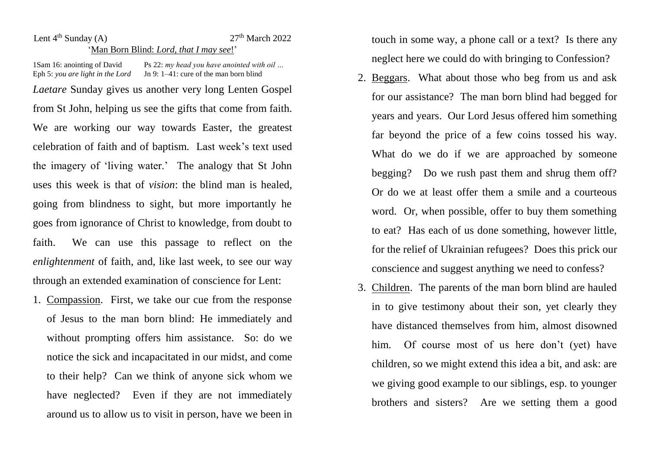## Lent  $4<sup>th</sup>$  Sunday (A)  $27<sup>th</sup>$  March 2022 'Man Born Blind: *Lord, that I may see*!'

1Sam 16: anointing of David Ps 22: *my head you have anointed with oil* ...<br>Eph 5: *you are light in the Lord* Jn 9: 1–41: cure of the man born blind In 9: 1–41: cure of the man born blind *Laetare* Sunday gives us another very long Lenten Gospel from St John, helping us see the gifts that come from faith. We are working our way towards Easter, the greatest celebration of faith and of baptism. Last week's text used the imagery of 'living water.' The analogy that St John uses this week is that of *vision*: the blind man is healed, going from blindness to sight, but more importantly he goes from ignorance of Christ to knowledge, from doubt to faith. We can use this passage to reflect on the *enlightenment* of faith, and, like last week, to see our way through an extended examination of conscience for Lent:

1. Compassion. First, we take our cue from the response of Jesus to the man born blind: He immediately and without prompting offers him assistance. So: do we notice the sick and incapacitated in our midst, and come to their help? Can we think of anyone sick whom we have neglected? Even if they are not immediately around us to allow us to visit in person, have we been in touch in some way, a phone call or a text? Is there any neglect here we could do with bringing to Confession?

- 2. Beggars. What about those who beg from us and ask for our assistance? The man born blind had begged for years and years. Our Lord Jesus offered him something far beyond the price of a few coins tossed his way. What do we do if we are approached by someone begging? Do we rush past them and shrug them off? Or do we at least offer them a smile and a courteous word. Or, when possible, offer to buy them something to eat? Has each of us done something, however little, for the relief of Ukrainian refugees? Does this prick our conscience and suggest anything we need to confess?
- 3. Children. The parents of the man born blind are hauled in to give testimony about their son, yet clearly they have distanced themselves from him, almost disowned him. Of course most of us here don't (yet) have children, so we might extend this idea a bit, and ask: are we giving good example to our siblings, esp. to younger brothers and sisters? Are we setting them a good